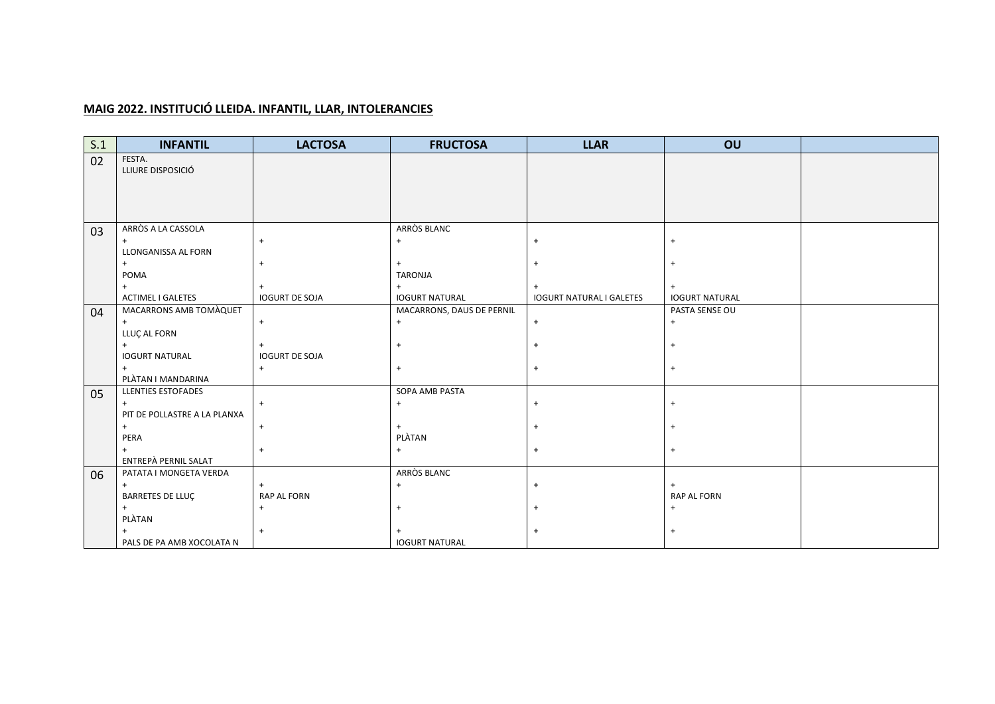## **MAIG 2022. INSTITUCIÓ LLEIDA. INFANTIL, LLAR, INTOLERANCIES**

| 02<br>FESTA.<br>LLIURE DISPOSICIÓ<br>ARRÒS A LA CASSOLA<br>ARRÒS BLANC<br>03                                                           |  |
|----------------------------------------------------------------------------------------------------------------------------------------|--|
|                                                                                                                                        |  |
|                                                                                                                                        |  |
|                                                                                                                                        |  |
|                                                                                                                                        |  |
|                                                                                                                                        |  |
|                                                                                                                                        |  |
| $+$<br>$\ddot{}$<br>$\ddot{}$<br>$\overline{+}$<br>$+$                                                                                 |  |
| LLONGANISSA AL FORN                                                                                                                    |  |
| $+$<br>$\ddot{}$<br>$+$<br>$\overline{+}$                                                                                              |  |
| <b>TARONJA</b><br>POMA                                                                                                                 |  |
| $+$<br>$+$<br>$+$                                                                                                                      |  |
| <b>IOGURT DE SOJA</b><br><b>ACTIMEL I GALETES</b><br><b>IOGURT NATURAL</b><br><b>IOGURT NATURAL I GALETES</b><br><b>IOGURT NATURAL</b> |  |
| MACARRONS AMB TOMAQUET<br>MACARRONS, DAUS DE PERNIL<br>PASTA SENSE OU<br>04                                                            |  |
| $\ddot{}$<br>$\ddot{}$<br>$\overline{+}$<br>$+$                                                                                        |  |
| LLUÇ AL FORN<br>$+$                                                                                                                    |  |
| $\ddot{}$<br>$\ddot{}$<br><b>IOGURT NATURAL</b><br><b>IOGURT DE SOJA</b>                                                               |  |
| $\ddot{}$<br>$\ddot{}$<br>$\ddot{}$<br>$\overline{+}$                                                                                  |  |
| PLÀTAN I MANDARINA                                                                                                                     |  |
| <b>LLENTIES ESTOFADES</b><br>SOPA AMB PASTA<br>05                                                                                      |  |
| $\ddot{}$<br>$+$<br>$+$<br>$\ddot{}$<br>$\overline{+}$                                                                                 |  |
| PIT DE POLLASTRE A LA PLANXA                                                                                                           |  |
| $+$<br>$\ddot{}$<br>$+$<br>$\ddot{}$                                                                                                   |  |
| PLÀTAN<br>PERA                                                                                                                         |  |
| $\ddot{}$<br>$+$<br>$+$<br>$\overline{1}$                                                                                              |  |
| ENTREPÀ PERNIL SALAT                                                                                                                   |  |
| ARRÒS BLANC<br>PATATA I MONGETA VERDA<br>06                                                                                            |  |
| $+$<br>$+$<br>$\ddot{}$<br>$+$                                                                                                         |  |
| BARRETES DE LLUÇ<br><b>RAP AL FORN</b><br><b>RAP AL FORN</b>                                                                           |  |
| $\ddot{}$<br>$+$<br>$+$<br>$+$                                                                                                         |  |
| PLÀTAN<br>$\ddot{}$                                                                                                                    |  |
| <b>IOGURT NATURAL</b><br>PALS DE PA AMB XOCOLATA N                                                                                     |  |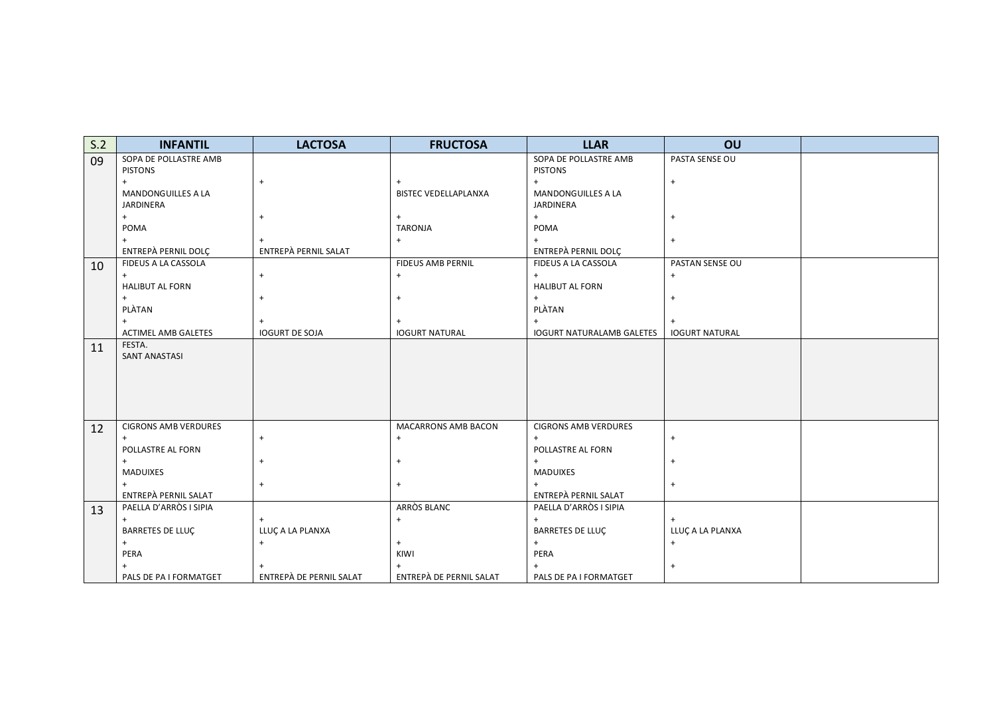| S.2 | <b>INFANTIL</b>             | <b>LACTOSA</b>          | <b>FRUCTOSA</b>             | <b>LLAR</b>                      | OU                    |  |
|-----|-----------------------------|-------------------------|-----------------------------|----------------------------------|-----------------------|--|
| 09  | SOPA DE POLLASTRE AMB       |                         |                             | SOPA DE POLLASTRE AMB            | PASTA SENSE OU        |  |
|     | <b>PISTONS</b>              |                         |                             | <b>PISTONS</b>                   |                       |  |
|     | $+$                         | $+$                     | $+$                         | $\ddot{}$                        | $\ddot{}$             |  |
|     | <b>MANDONGUILLES A LA</b>   |                         | <b>BISTEC VEDELLAPLANXA</b> | MANDONGUILLES A LA               |                       |  |
|     | JARDINERA                   |                         |                             | JARDINERA                        |                       |  |
|     | $+$                         | $\ddot{}$               | $+$                         | $+$                              | $\ddot{}$             |  |
|     | POMA                        |                         | <b>TARONJA</b>              | POMA                             |                       |  |
|     |                             |                         | $+$                         | $+$                              | $\ddot{}$             |  |
|     | ENTREPÀ PERNIL DOLÇ         | ENTREPÀ PERNIL SALAT    |                             | ENTREPÀ PERNIL DOLÇ              |                       |  |
| 10  | FIDEUS A LA CASSOLA         |                         | <b>FIDEUS AMB PERNIL</b>    | FIDEUS A LA CASSOLA              | PASTAN SENSE OU       |  |
|     | $+$                         | $+$                     | $\ddot{}$                   | $+$                              | $\ddot{}$             |  |
|     | <b>HALIBUT AL FORN</b>      |                         |                             | <b>HALIBUT AL FORN</b>           |                       |  |
|     |                             | $+$                     | $+$                         | $+$                              | $\ddot{}$             |  |
|     | PLÀTAN                      |                         |                             | PLÀTAN                           |                       |  |
|     |                             | $\ddot{}$               | $+$                         | $\ddot{}$                        | $\ddot{}$             |  |
|     | <b>ACTIMEL AMB GALETES</b>  | <b>IOGURT DE SOJA</b>   | <b>IOGURT NATURAL</b>       | <b>IOGURT NATURALAMB GALETES</b> | <b>IOGURT NATURAL</b> |  |
| 11  | FESTA.                      |                         |                             |                                  |                       |  |
|     | <b>SANT ANASTASI</b>        |                         |                             |                                  |                       |  |
|     |                             |                         |                             |                                  |                       |  |
|     |                             |                         |                             |                                  |                       |  |
|     |                             |                         |                             |                                  |                       |  |
|     |                             |                         |                             |                                  |                       |  |
| 12  | <b>CIGRONS AMB VERDURES</b> |                         | <b>MACARRONS AMB BACON</b>  | <b>CIGRONS AMB VERDURES</b>      |                       |  |
|     | $+$                         | $\ddot{}$               | $\ddag$                     | $\ddot{}$                        | $\ddot{}$             |  |
|     | POLLASTRE AL FORN           |                         |                             | POLLASTRE AL FORN                |                       |  |
|     | $+$                         | $^{+}$                  | $+$                         | $+$                              | $^{+}$                |  |
|     | <b>MADUIXES</b>             |                         |                             | <b>MADUIXES</b>                  |                       |  |
|     | $+$                         | $\ddot{}$               | $+$                         | $+$                              | $\ddot{}$             |  |
|     | ENTREPÀ PERNIL SALAT        |                         |                             | ENTREPÀ PERNIL SALAT             |                       |  |
| 13  | PAELLA D'ARRÒS I SIPIA      |                         | ARRÒS BLANC                 | PAELLA D'ARRÒS I SIPIA           |                       |  |
|     | $+$                         | $^{+}$                  | $+$                         | $+$                              | $^{+}$                |  |
|     | <b>BARRETES DE LLUÇ</b>     | LLUÇA LA PLANXA         |                             | <b>BARRETES DE LLUÇ</b>          | LLUÇA LA PLANXA       |  |
|     | $+$                         | $+$                     | $+$                         | $\ddot{}$                        | $\ddot{}$             |  |
|     | PERA                        |                         | KIWI                        | PERA                             |                       |  |
|     |                             |                         | $+$                         | $^{+}$                           | $\ddot{}$             |  |
|     | PALS DE PA I FORMATGET      | ENTREPÀ DE PERNIL SALAT | ENTREPÀ DE PERNIL SALAT     | PALS DE PA I FORMATGET           |                       |  |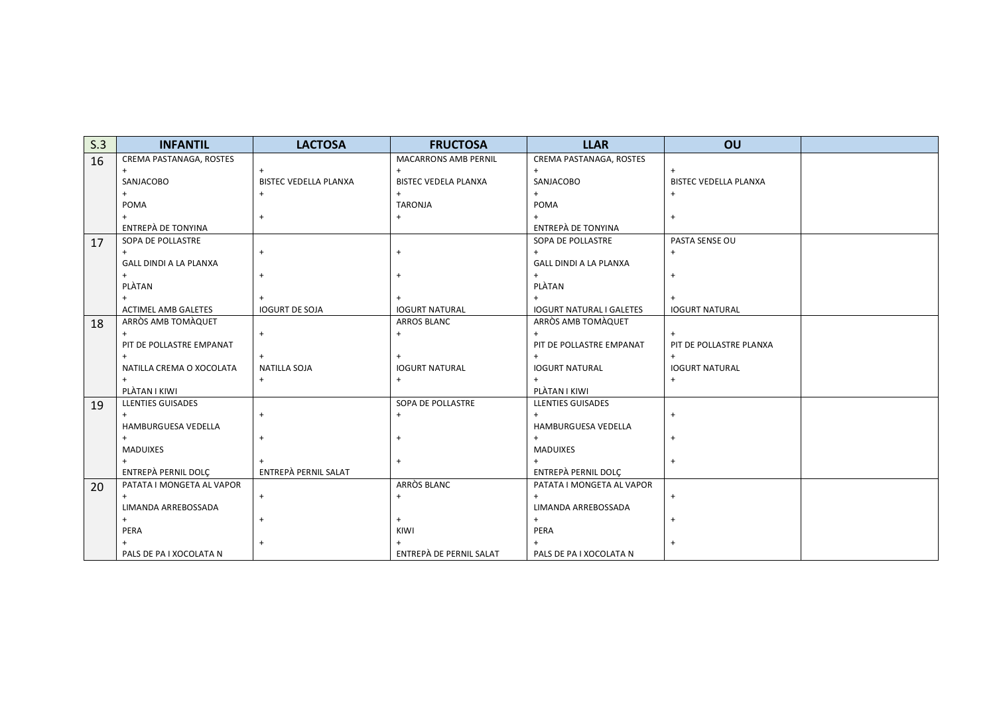| S.3 | <b>INFANTIL</b>               | <b>LACTOSA</b>               | <b>FRUCTOSA</b>             | <b>LLAR</b>                     | OU                           |  |
|-----|-------------------------------|------------------------------|-----------------------------|---------------------------------|------------------------------|--|
| 16  | CREMA PASTANAGA, ROSTES       |                              | <b>MACARRONS AMB PERNIL</b> | CREMA PASTANAGA, ROSTES         |                              |  |
|     |                               |                              |                             | $\ddot{}$                       | $+$                          |  |
|     | SANJACOBO                     | <b>BISTEC VEDELLA PLANXA</b> | <b>BISTEC VEDELA PLANXA</b> | SANJACOBO                       | <b>BISTEC VEDELLA PLANXA</b> |  |
|     |                               |                              | $\ddot{}$                   | $^{+}$                          | $\overline{+}$               |  |
|     | POMA                          |                              | <b>TARONJA</b>              | POMA                            |                              |  |
|     |                               |                              | $\ddot{}$                   |                                 | $+$                          |  |
|     | ENTREPÀ DE TONYINA            |                              |                             | ENTREPÀ DE TONYINA              |                              |  |
| 17  | SOPA DE POLLASTRE             |                              |                             | SOPA DE POLLASTRE               | PASTA SENSE OU               |  |
|     | $+$                           |                              | $+$                         | $+$                             | $+$                          |  |
|     | <b>GALL DINDI A LA PLANXA</b> |                              |                             | <b>GALL DINDI A LA PLANXA</b>   |                              |  |
|     | $+$                           |                              |                             | $+$                             | $\ddot{}$                    |  |
|     | PLÀTAN                        |                              |                             | PLÀTAN                          |                              |  |
|     |                               |                              |                             |                                 | $\ddot{}$                    |  |
|     | <b>ACTIMEL AMB GALETES</b>    | <b>IOGURT DE SOJA</b>        | <b>IOGURT NATURAL</b>       | <b>IOGURT NATURAL I GALETES</b> | <b>IOGURT NATURAL</b>        |  |
| 18  | ARRÒS AMB TOMÀQUET            |                              | <b>ARROS BLANC</b>          | ARRÒS AMB TOMÀQUET              |                              |  |
|     |                               | $\ddot{}$                    | $+$                         | $\ddot{}$                       | $+$                          |  |
|     | PIT DE POLLASTRE EMPANAT      |                              |                             | PIT DE POLLASTRE EMPANAT        | PIT DE POLLASTRE PLANXA      |  |
|     |                               | $+$                          |                             |                                 | $+$                          |  |
|     | NATILLA CREMA O XOCOLATA      | <b>NATILLA SOJA</b>          | <b>IOGURT NATURAL</b>       | <b>IOGURT NATURAL</b>           | <b>IOGURT NATURAL</b>        |  |
|     |                               | $+$                          | $+$                         |                                 | $+$                          |  |
|     | PLÀTAN I KIWI                 |                              |                             | PLÀTAN I KIWI                   |                              |  |
| 19  | <b>LLENTIES GUISADES</b>      |                              | SOPA DE POLLASTRE           | <b>LLENTIES GUISADES</b>        |                              |  |
|     |                               |                              | $\ddot{}$                   | $\ddot{}$                       | $+$                          |  |
|     | HAMBURGUESA VEDELLA           |                              |                             | HAMBURGUESA VEDELLA             |                              |  |
|     |                               |                              | $+$                         | $+$                             | $+$                          |  |
|     | MADUIXES                      |                              |                             | <b>MADUIXES</b>                 |                              |  |
|     |                               |                              | $\ddot{}$                   | $+$                             | $+$                          |  |
|     | ENTREPÀ PERNIL DOLC           | ENTREPÀ PERNIL SALAT         |                             | ENTREPÀ PERNIL DOLC             |                              |  |
| 20  | PATATA I MONGETA AL VAPOR     |                              | ARRÒS BLANC                 | PATATA I MONGETA AL VAPOR       |                              |  |
|     |                               | $\ddot{}$                    | $\ddot{}$                   | $\ddot{}$                       | $\ddot{}$                    |  |
|     | LIMANDA ARREBOSSADA           |                              |                             | LIMANDA ARREBOSSADA             |                              |  |
|     |                               |                              |                             | $+$                             | $+$                          |  |
|     | PERA                          |                              | KIWI                        | PERA                            |                              |  |
|     |                               |                              |                             |                                 | $+$                          |  |
|     | PALS DE PA I XOCOLATA N       |                              | ENTREPÀ DE PERNIL SALAT     | PALS DE PA I XOCOLATA N         |                              |  |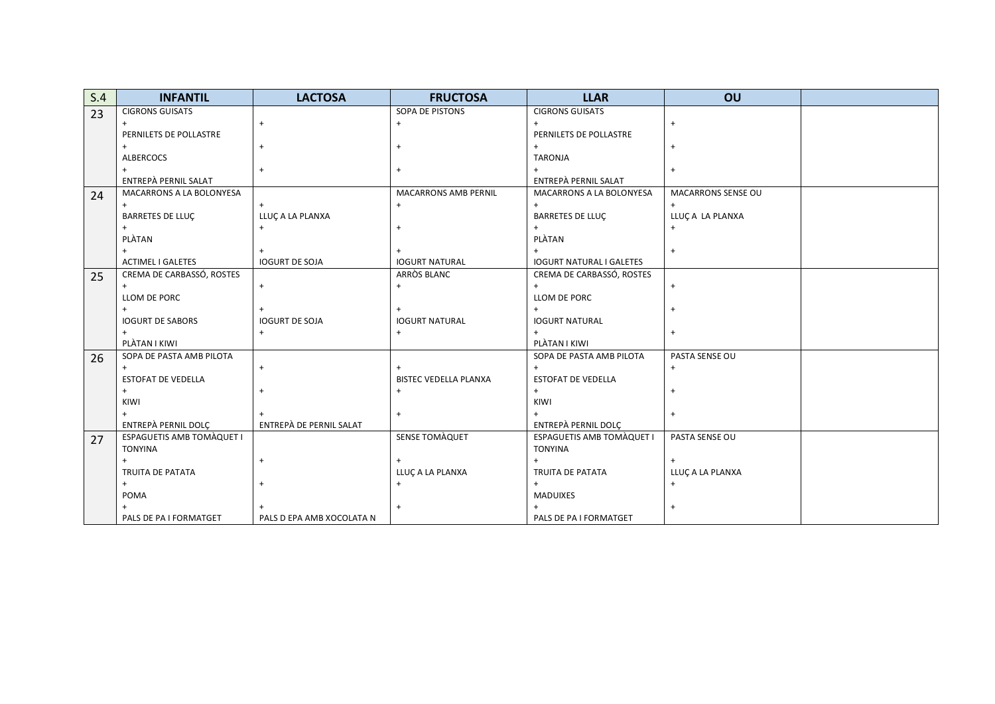| S.4 | <b>INFANTIL</b>                  | <b>LACTOSA</b>            | <b>FRUCTOSA</b>              | <b>LLAR</b>                      | OU                 |  |
|-----|----------------------------------|---------------------------|------------------------------|----------------------------------|--------------------|--|
| 23  | <b>CIGRONS GUISATS</b>           |                           | SOPA DE PISTONS              | <b>CIGRONS GUISATS</b>           |                    |  |
|     |                                  | $\ddot{}$                 | $\ddot{}$                    |                                  | $\ddot{}$          |  |
|     | PERNILETS DE POLLASTRE           |                           |                              | PERNILETS DE POLLASTRE           |                    |  |
|     | $+$                              | $\ddot{}$                 |                              |                                  | $+$                |  |
|     | ALBERCOCS                        |                           |                              | <b>TARONJA</b>                   |                    |  |
|     |                                  | $\ddot{}$                 |                              |                                  | $\ddot{}$          |  |
|     | ENTREPÀ PERNIL SALAT             |                           |                              | ENTREPÀ PERNIL SALAT             |                    |  |
| 24  | MACARRONS A LA BOLONYESA         |                           | <b>MACARRONS AMB PERNIL</b>  | MACARRONS A LA BOLONYESA         | MACARRONS SENSE OU |  |
|     |                                  |                           | $\ddot{}$                    |                                  | $^{+}$             |  |
|     | <b>BARRETES DE LLUÇ</b>          | LLUC A LA PLANXA          |                              | BARRETES DE LLUÇ                 | LLUÇA LA PLANXA    |  |
|     |                                  | $\ddot{}$                 |                              |                                  |                    |  |
|     | PLÀTAN                           |                           |                              | PLÀTAN                           |                    |  |
|     |                                  |                           |                              |                                  | $\ddot{}$          |  |
|     | <b>ACTIMEL I GALETES</b>         | <b>IOGURT DE SOJA</b>     | <b>IOGURT NATURAL</b>        | <b>IOGURT NATURAL I GALETES</b>  |                    |  |
| 25  | CREMA DE CARBASSÓ, ROSTES        |                           | ARRÒS BLANC                  | CREMA DE CARBASSÓ, ROSTES        |                    |  |
|     | $+$                              | $+$                       | $\ddot{}$                    | $+$                              | $+$                |  |
|     | LLOM DE PORC                     |                           |                              | LLOM DE PORC                     |                    |  |
|     |                                  |                           |                              |                                  | $+$                |  |
|     | <b>IOGURT DE SABORS</b>          | <b>IOGURT DE SOJA</b>     | <b>IOGURT NATURAL</b>        | <b>IOGURT NATURAL</b>            |                    |  |
|     |                                  | $\ddot{}$                 |                              |                                  | $+$                |  |
|     | PLÀTAN I KIWI                    |                           |                              | PLÀTAN I KIWI                    |                    |  |
| 26  | SOPA DE PASTA AMB PILOTA         |                           |                              | SOPA DE PASTA AMB PILOTA         | PASTA SENSE OU     |  |
|     | $^{+}$                           | $+$                       |                              | $\ddot{}$                        | $+$                |  |
|     | ESTOFAT DE VEDELLA               |                           | <b>BISTEC VEDELLA PLANXA</b> | <b>ESTOFAT DE VEDELLA</b>        |                    |  |
|     | $+$                              | $^{+}$                    |                              | $+$                              | $+$                |  |
|     | KIWI                             |                           |                              | KIWI                             |                    |  |
|     |                                  |                           | $\ddot{}$                    |                                  | $+$                |  |
|     | ENTREPÀ PERNIL DOLÇ              | ENTREPÀ DE PERNIL SALAT   |                              | ENTREPÀ PERNIL DOLÇ              |                    |  |
| 27  | <b>ESPAGUETIS AMB TOMAQUET I</b> |                           | SENSE TOMAQUET               | <b>ESPAGUETIS AMB TOMAQUET I</b> | PASTA SENSE OU     |  |
|     | <b>TONYINA</b>                   |                           |                              | <b>TONYINA</b>                   |                    |  |
|     | $\ddot{}$                        | $\ddot{}$                 |                              |                                  |                    |  |
|     | <b>TRUITA DE PATATA</b>          |                           | LLUC A LA PLANXA             | TRUITA DE PATATA                 | LLUC A LA PLANXA   |  |
|     | $+$                              | $\ddot{}$                 |                              | $+$                              | $\ddot{}$          |  |
|     | POMA                             |                           |                              | <b>MADUIXES</b>                  |                    |  |
|     |                                  |                           |                              |                                  | $\ddot{}$          |  |
|     | PALS DE PA I FORMATGET           | PALS D EPA AMB XOCOLATA N |                              | PALS DE PA I FORMATGET           |                    |  |